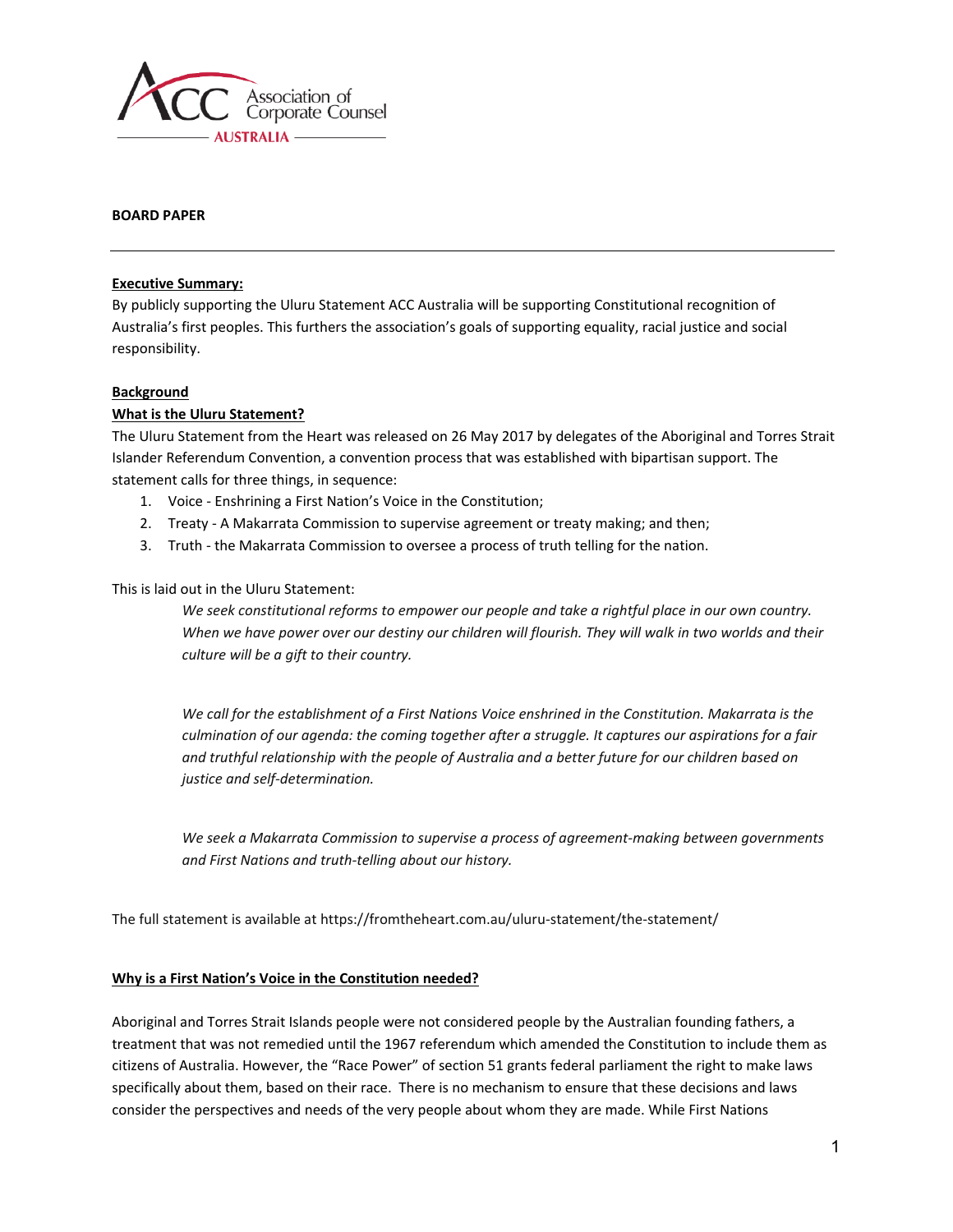

#### **BOARD PAPER**

# **Executive Summary:**

By publicly supporting the Uluru Statement ACC Australia will be supporting Constitutional recognition of Australia's first peoples. This furthers the association's goals of supporting equality, racial justice and social responsibility.

## **Background**

## **What is the Uluru Statement?**

The Uluru Statement from the Heart was released on 26 May 2017 by delegates of the Aboriginal and Torres Strait Islander Referendum Convention, a convention process that was established with bipartisan support. The statement calls for three things, in sequence:

- 1. Voice Enshrining a First Nation's Voice in the Constitution;
- 2. Treaty A Makarrata Commission to supervise agreement or treaty making; and then;
- 3. Truth the Makarrata Commission to oversee a process of truth telling for the nation.

This is laid out in the Uluru Statement:

*We seek constitutional reforms to empower our people and take a rightful place in our own country. When we have power over our destiny our children will flourish. They will walk in two worlds and their culture will be a gift to their country.*

*We call for the establishment of a First Nations Voice enshrined in the Constitution. Makarrata is the culmination of our agenda: the coming together after a struggle. It captures our aspirations for a fair and truthful relationship with the people of Australia and a better future for our children based on justice and self-determination.*

*We seek a Makarrata Commission to supervise a process of agreement-making between governments and First Nations and truth-telling about our history.*

The full statement is available at https://fromtheheart.com.au/uluru-statement/the-statement/

#### **Why is a First Nation's Voice in the Constitution needed?**

Aboriginal and Torres Strait Islands people were not considered people by the Australian founding fathers, a treatment that was not remedied until the 1967 referendum which amended the Constitution to include them as citizens of Australia. However, the "Race Power" of section 51 grants federal parliament the right to make laws specifically about them, based on their race. There is no mechanism to ensure that these decisions and laws consider the perspectives and needs of the very people about whom they are made. While First Nations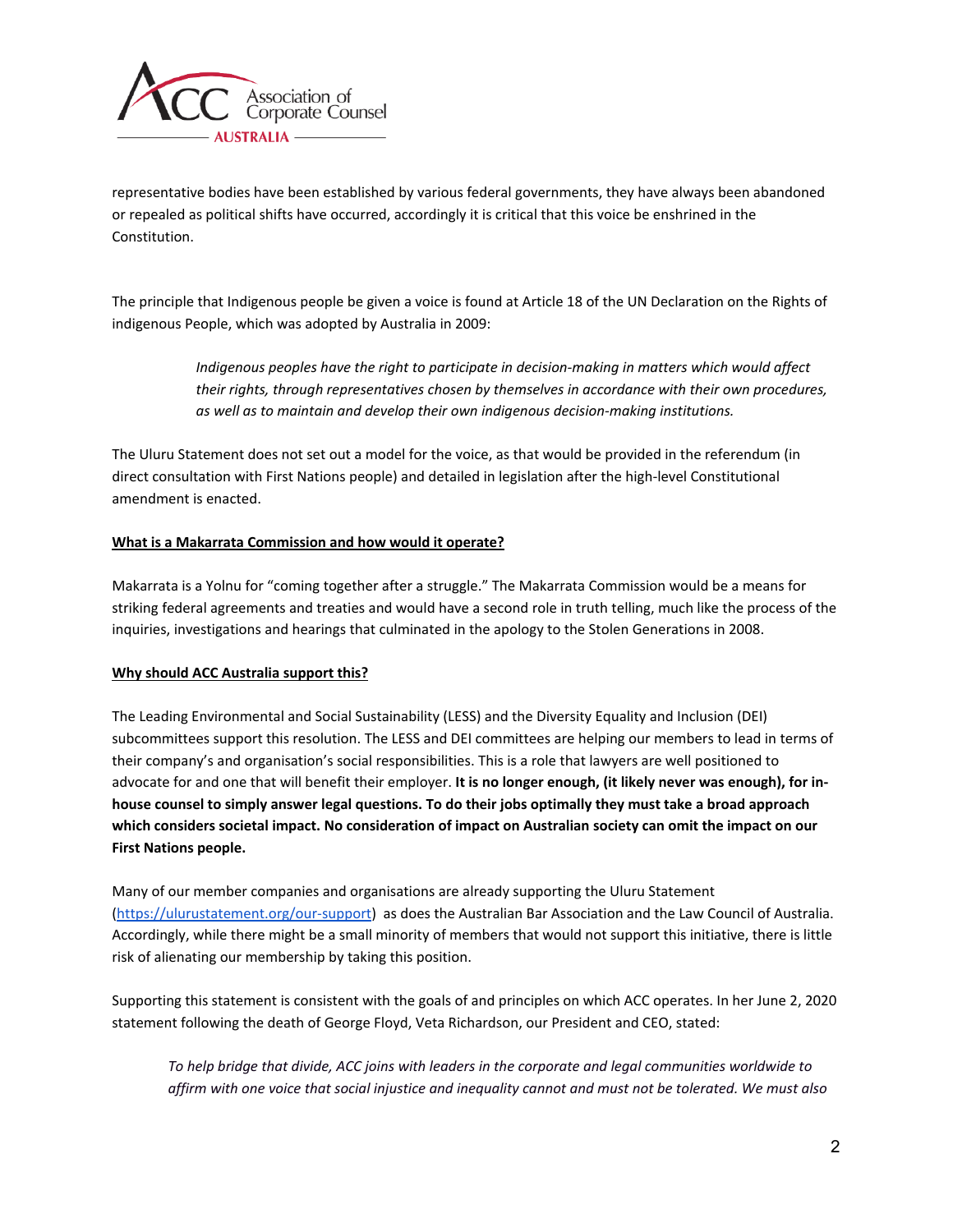

representative bodies have been established by various federal governments, they have always been abandoned or repealed as political shifts have occurred, accordingly it is critical that this voice be enshrined in the Constitution.

The principle that Indigenous people be given a voice is found at Article 18 of the UN Declaration on the Rights of indigenous People, which was adopted by Australia in 2009:

> *Indigenous peoples have the right to participate in decision-making in matters which would affect their rights, through representatives chosen by themselves in accordance with their own procedures, as well as to maintain and develop their own indigenous decision-making institutions.*

The Uluru Statement does not set out a model for the voice, as that would be provided in the referendum (in direct consultation with First Nations people) and detailed in legislation after the high-level Constitutional amendment is enacted.

# **What is a Makarrata Commission and how would it operate?**

Makarrata is a Yolnu for "coming together after a struggle." The Makarrata Commission would be a means for striking federal agreements and treaties and would have a second role in truth telling, much like the process of the inquiries, investigations and hearings that culminated in the apology to the Stolen Generations in 2008.

# **Why should ACC Australia support this?**

The Leading Environmental and Social Sustainability (LESS) and the Diversity Equality and Inclusion (DEI) subcommittees support this resolution. The LESS and DEI committees are helping our members to lead in terms of their company's and organisation's social responsibilities. This is a role that lawyers are well positioned to advocate for and one that will benefit their employer. **It is no longer enough, (it likely never was enough), for inhouse counsel to simply answer legal questions. To do their jobs optimally they must take a broad approach which considers societal impact. No consideration of impact on Australian society can omit the impact on our First Nations people.** 

Many of our member companies and organisations are already supporting the Uluru Statement [\(https://ulurustatement.org/our-support\)](https://ulurustatement.org/our-support) as does the Australian Bar Association and the Law Council of Australia. Accordingly, while there might be a small minority of members that would not support this initiative, there is little risk of alienating our membership by taking this position.

Supporting this statement is consistent with the goals of and principles on which ACC operates. In her June 2, 2020 statement following the death of George Floyd, Veta Richardson, our President and CEO, stated:

*To help bridge that divide, ACC joins with leaders in the corporate and legal communities worldwide to affirm with one voice that social injustice and inequality cannot and must not be tolerated. We must also*